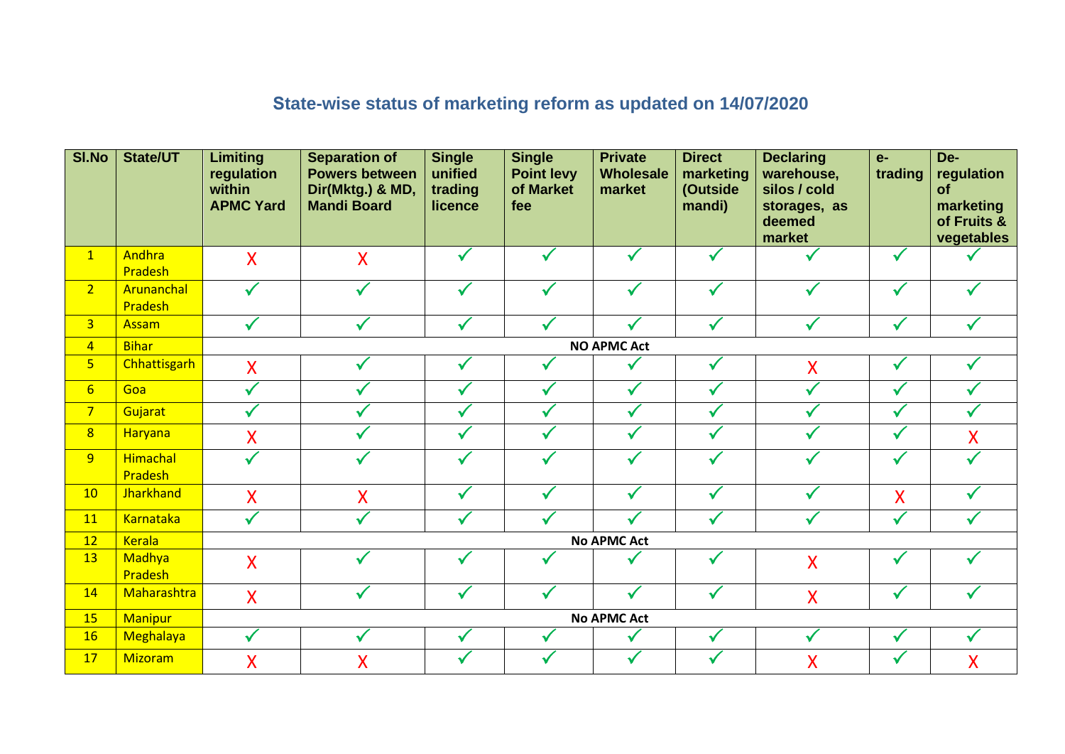## **State-wise status of marketing reform as updated on 14/07/2020**

| SI.No          | <b>State/UT</b>       | <b>Limiting</b><br>regulation<br>within<br><b>APMC Yard</b> | <b>Separation of</b><br><b>Powers between</b><br>Dir(Mktg.) & MD,<br><b>Mandi Board</b> | <b>Single</b><br>unified<br>trading<br>licence | <b>Single</b><br><b>Point levy</b><br>of Market<br>fee | <b>Private</b><br><b>Wholesale</b><br>market | <b>Direct</b><br>marketing<br>(Outside<br>mandi) | <b>Declaring</b><br>warehouse,<br>silos / cold<br>storages, as<br>deemed<br>market | $e-$<br>trading | De-<br>regulation<br>of<br>marketing<br>of Fruits &<br>vegetables |  |
|----------------|-----------------------|-------------------------------------------------------------|-----------------------------------------------------------------------------------------|------------------------------------------------|--------------------------------------------------------|----------------------------------------------|--------------------------------------------------|------------------------------------------------------------------------------------|-----------------|-------------------------------------------------------------------|--|
| $\mathbf{1}$   | Andhra<br>Pradesh     | $\sf X$                                                     | $\overline{\mathsf{X}}$                                                                 | $\checkmark$                                   | $\checkmark$                                           | $\checkmark$                                 |                                                  |                                                                                    | $\checkmark$    |                                                                   |  |
| 2 <sup>1</sup> | Arunanchal<br>Pradesh | $\checkmark$                                                |                                                                                         | $\checkmark$                                   |                                                        | $\checkmark$                                 |                                                  |                                                                                    | $\checkmark$    |                                                                   |  |
| 3 <sup>1</sup> | <b>Assam</b>          | $\checkmark$                                                | $\checkmark$                                                                            | $\checkmark$                                   | $\checkmark$                                           | $\checkmark$                                 | $\sqrt{}$                                        | $\checkmark$                                                                       | $\checkmark$    |                                                                   |  |
| $\overline{4}$ | <b>Bihar</b>          | <b>NO APMC Act</b>                                          |                                                                                         |                                                |                                                        |                                              |                                                  |                                                                                    |                 |                                                                   |  |
| 5 <sup>1</sup> | <b>Chhattisgarh</b>   | $\overline{\mathsf{X}}$                                     |                                                                                         | ✔                                              | $\checkmark$                                           | ✓                                            | $\checkmark$                                     | X                                                                                  | √               |                                                                   |  |
| 6 <sup>1</sup> | Goa                   | $\checkmark$                                                |                                                                                         | $\checkmark$                                   | $\checkmark$                                           | $\checkmark$                                 |                                                  | ✓                                                                                  | $\checkmark$    |                                                                   |  |
| 7 <sup>2</sup> | Gujarat               | $\checkmark$                                                |                                                                                         |                                                |                                                        | $\checkmark$                                 |                                                  |                                                                                    | $\checkmark$    |                                                                   |  |
| 8 <sup>2</sup> | Haryana               | X                                                           |                                                                                         |                                                | $\checkmark$                                           | ✓                                            |                                                  |                                                                                    | ✓               | X                                                                 |  |
| 9 <sup>°</sup> | Himachal<br>Pradesh   | $\overline{\checkmark}$                                     |                                                                                         | $\checkmark$                                   | $\checkmark$                                           | $\checkmark$                                 |                                                  |                                                                                    | $\checkmark$    |                                                                   |  |
| 10             | <b>Jharkhand</b>      | X                                                           | $\overline{\mathsf{X}}$                                                                 | $\checkmark$                                   | $\checkmark$                                           | $\checkmark$                                 |                                                  | ✓                                                                                  | X               |                                                                   |  |
| 11             | <b>Karnataka</b>      | $\checkmark$                                                |                                                                                         |                                                |                                                        | ✓                                            |                                                  |                                                                                    | $\checkmark$    |                                                                   |  |
| 12             | <b>Kerala</b>         | <b>No APMC Act</b>                                          |                                                                                         |                                                |                                                        |                                              |                                                  |                                                                                    |                 |                                                                   |  |
| 13             | Madhya<br>Pradesh     | X                                                           |                                                                                         |                                                |                                                        |                                              |                                                  | X                                                                                  | $\checkmark$    |                                                                   |  |
| 14             | Maharashtra           | X                                                           |                                                                                         |                                                |                                                        | $\checkmark$                                 |                                                  | X                                                                                  | $\checkmark$    |                                                                   |  |
| 15             | <b>Manipur</b>        | <b>No APMC Act</b>                                          |                                                                                         |                                                |                                                        |                                              |                                                  |                                                                                    |                 |                                                                   |  |
| 16             | <b>Meghalaya</b>      | $\checkmark$                                                |                                                                                         |                                                |                                                        | $\checkmark$                                 |                                                  | ✓                                                                                  | $\checkmark$    |                                                                   |  |
| 17             | Mizoram               | X                                                           | X                                                                                       |                                                |                                                        |                                              |                                                  | $\overline{\mathsf{X}}$                                                            | √               | X                                                                 |  |